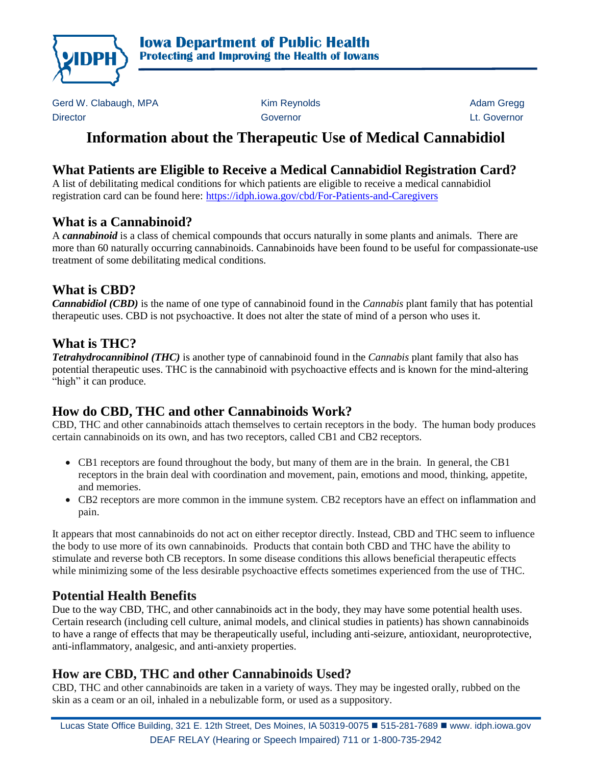

Gerd W. Clabaugh, MPA **Kim Reynolds** Adam Gregg Adam Gregg Director Governor Lt. Governor

# **Information about the Therapeutic Use of Medical Cannabidiol**

# **What Patients are Eligible to Receive a Medical Cannabidiol Registration Card?**

A list of debilitating medical conditions for which patients are eligible to receive a medical cannabidiol registration card can be found here: <https://idph.iowa.gov/cbd/For-Patients-and-Caregivers>

# **What is a Cannabinoid?**

A *cannabinoid* is a class of chemical compounds that occurs naturally in some plants and animals. There are more than 60 naturally occurring cannabinoids. Cannabinoids have been found to be useful for compassionate-use treatment of some debilitating medical conditions.

#### **What is CBD?**

*Cannabidiol (CBD)* is the name of one type of cannabinoid found in the *Cannabis* plant family that has potential therapeutic uses. CBD is not psychoactive. It does not alter the state of mind of a person who uses it.

#### **What is THC?**

*Tetrahydrocannibinol (THC)* is another type of cannabinoid found in the *Cannabis* plant family that also has potential therapeutic uses. THC is the cannabinoid with psychoactive effects and is known for the mind-altering "high" it can produce.

# **How do CBD, THC and other Cannabinoids Work?**

CBD, THC and other cannabinoids attach themselves to certain receptors in the body. The human body produces certain cannabinoids on its own, and has two receptors, called CB1 and CB2 receptors.

- CB1 receptors are found throughout the body, but many of them are in the brain. In general, the CB1 receptors in the brain deal with coordination and movement, pain, emotions and mood, thinking, appetite, and memories.
- CB2 receptors are more common in the immune system. CB2 receptors have an effect on inflammation and pain.

It appears that most cannabinoids do not act on either receptor directly. Instead, CBD and THC seem to influence the body to use more of its own cannabinoids. Products that contain both CBD and THC have the ability to stimulate and reverse both CB receptors. In some disease conditions this allows beneficial therapeutic effects while minimizing some of the less desirable psychoactive effects sometimes experienced from the use of THC.

# **Potential Health Benefits**

Due to the way CBD, THC, and other cannabinoids act in the body, they may have some potential health uses. Certain research (including cell culture, animal models, and clinical studies in patients) has shown cannabinoids to have a range of effects that may be therapeutically useful, including anti-seizure, antioxidant, neuroprotective, anti-inflammatory, analgesic, and anti-anxiety properties.

# **How are CBD, THC and other Cannabinoids Used?**

CBD, THC and other cannabinoids are taken in a variety of ways. They may be ingested orally, rubbed on the skin as a ceam or an oil, inhaled in a nebulizable form, or used as a suppository.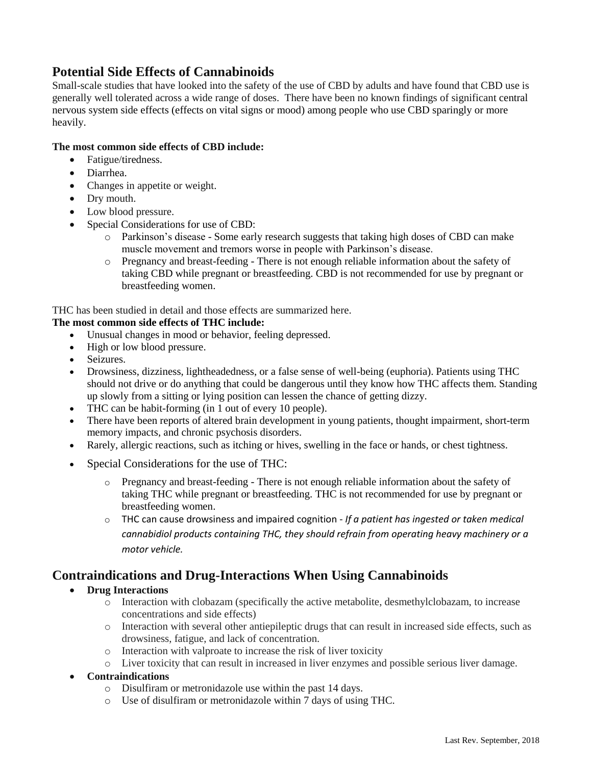#### **Potential Side Effects of Cannabinoids**

Small-scale studies that have looked into the safety of the use of CBD by adults and have found that CBD use is generally well tolerated across a wide range of doses. There have been no known findings of significant central nervous system side effects (effects on vital signs or mood) among people who use CBD sparingly or more heavily.

#### **The most common side effects of CBD include:**

- Fatigue/tiredness.
- Diarrhea.
- Changes in appetite or weight.
- Dry mouth.
- Low blood pressure.
- Special Considerations for use of CBD:
	- o Parkinson's disease Some early research suggests that taking high doses of CBD can make muscle movement and tremors worse in people with Parkinson's disease.
	- o Pregnancy and breast-feeding There is not enough reliable information about the safety of taking CBD while pregnant or breastfeeding. CBD is not recommended for use by pregnant or breastfeeding women.

THC has been studied in detail and those effects are summarized here.

#### **The most common side effects of THC include:**

- Unusual changes in mood or behavior, feeling depressed.
- High or low blood pressure.
- Seizures.
- Drowsiness, dizziness, lightheadedness, or a false sense of well-being (euphoria). Patients using THC should not drive or do anything that could be dangerous until they know how THC affects them. Standing up slowly from a sitting or lying position can lessen the chance of getting dizzy.
- THC can be habit-forming (in 1 out of every 10 people).
- There have been reports of altered brain development in young patients, thought impairment, short-term memory impacts, and chronic psychosis disorders.
- Rarely, allergic reactions, such as itching or hives, swelling in the face or hands, or chest tightness.
- Special Considerations for the use of THC:
	- o Pregnancy and breast-feeding There is not enough reliable information about the safety of taking THC while pregnant or breastfeeding. THC is not recommended for use by pregnant or breastfeeding women.
	- o THC can cause drowsiness and impaired cognition *If a patient has ingested or taken medical cannabidiol products containing THC, they should refrain from operating heavy machinery or a motor vehicle.*

#### **Contraindications and Drug-Interactions When Using Cannabinoids**

- **Drug Interactions**
	- o Interaction with clobazam (specifically the active metabolite, desmethylclobazam, to increase concentrations and side effects)
	- o Interaction with several other antiepileptic drugs that can result in increased side effects, such as drowsiness, fatigue, and lack of concentration.
	- o Interaction with valproate to increase the risk of liver toxicity
	- o Liver toxicity that can result in increased in liver enzymes and possible serious liver damage.
- **Contraindications**
	- o Disulfiram or metronidazole use within the past 14 days.
	- o Use of disulfiram or metronidazole within 7 days of using THC.